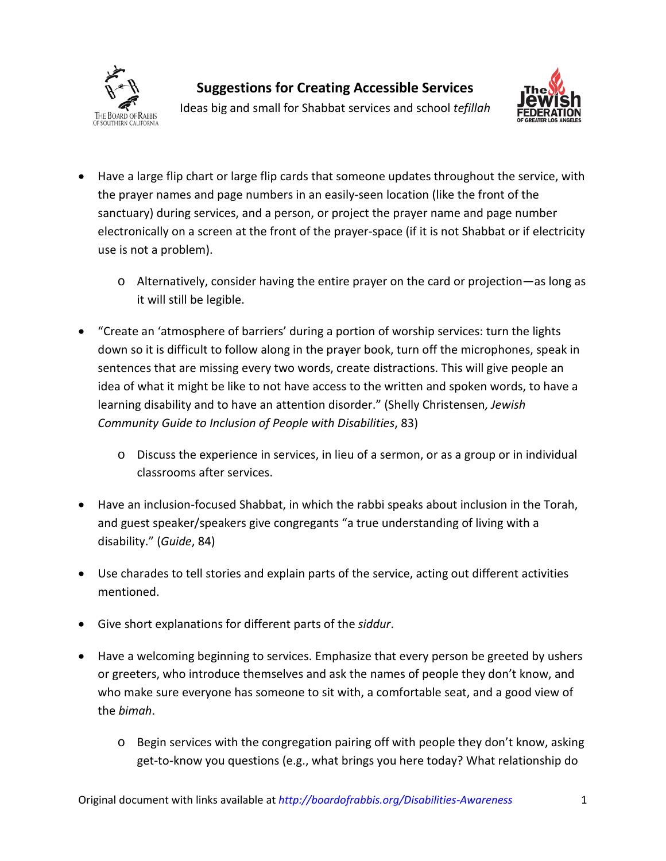



Ideas big and small for Shabbat services and school *tefillah*

- Have a large flip chart or large flip cards that someone updates throughout the service, with the prayer names and page numbers in an easily-seen location (like the front of the sanctuary) during services, and a person, or project the prayer name and page number electronically on a screen at the front of the prayer-space (if it is not Shabbat or if electricity use is not a problem).
	- o Alternatively, consider having the entire prayer on the card or projection—as long as it will still be legible.
- "Create an 'atmosphere of barriers' during a portion of worship services: turn the lights down so it is difficult to follow along in the prayer book, turn off the microphones, speak in sentences that are missing every two words, create distractions. This will give people an idea of what it might be like to not have access to the written and spoken words, to have a learning disability and to have an attention disorder." (Shelly Christensen*, Jewish Community Guide to Inclusion of People with Disabilities*, 83)
	- o Discuss the experience in services, in lieu of a sermon, or as a group or in individual classrooms after services.
- Have an inclusion-focused Shabbat, in which the rabbi speaks about inclusion in the Torah, and guest speaker/speakers give congregants "a true understanding of living with a disability." (*Guide*, 84)
- Use charades to tell stories and explain parts of the service, acting out different activities mentioned.
- Give short explanations for different parts of the *siddur*.
- Have a welcoming beginning to services. Emphasize that every person be greeted by ushers or greeters, who introduce themselves and ask the names of people they don't know, and who make sure everyone has someone to sit with, a comfortable seat, and a good view of the *bimah*.
	- o Begin services with the congregation pairing off with people they don't know, asking get-to-know you questions (e.g., what brings you here today? What relationship do